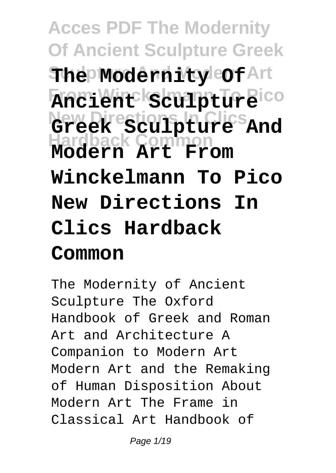# **Acces PDF The Modernity Of Ancient Sculpture Greek**  ${\bf \hat{F}}$ **he Modernity Cof** Art **From Winckelmann To Pico Ancient Sculpture New Directions In Clics Greek Sculpture And Hardback Common Modern Art From Winckelmann To Pico New Directions In Clics Hardback Common**

The Modernity of Ancient Sculpture The Oxford Handbook of Greek and Roman Art and Architecture A Companion to Modern Art Modern Art and the Remaking of Human Disposition About Modern Art The Frame in Classical Art Handbook of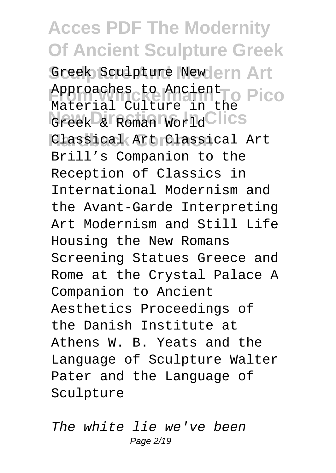Greek Sculpture Newlern Art Approaches to Ancient<br>
Material Cultume in the Pico Greek & Roman World Clics Classical Art Classical Art Material Culture in the Brill's Companion to the Reception of Classics in International Modernism and the Avant-Garde Interpreting Art Modernism and Still Life Housing the New Romans Screening Statues Greece and Rome at the Crystal Palace A Companion to Ancient Aesthetics Proceedings of the Danish Institute at Athens W. B. Yeats and the Language of Sculpture Walter Pater and the Language of Sculpture

The white lie we've been Page 2/19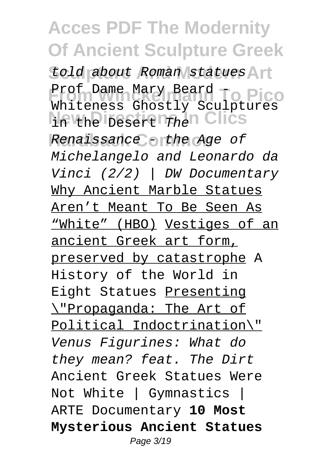told about Roman statues Art Prof Dame Mary Beard - **Pico**<br>Whitewage Charly Caulating **New Directions In Clics** in the Desert The Renaissance - the Age of Whiteness Ghostly Sculptures Michelangelo and Leonardo da Vinci (2/2) | DW Documentary Why Ancient Marble Statues Aren't Meant To Be Seen As "White" (HBO) Vestiges of an ancient Greek art form, preserved by catastrophe A History of the World in Eight Statues Presenting \"Propaganda: The Art of Political Indoctrination\" Venus Figurines: What do they mean? feat. The Dirt Ancient Greek Statues Were Not White | Gymnastics | ARTE Documentary **10 Most Mysterious Ancient Statues** Page 3/19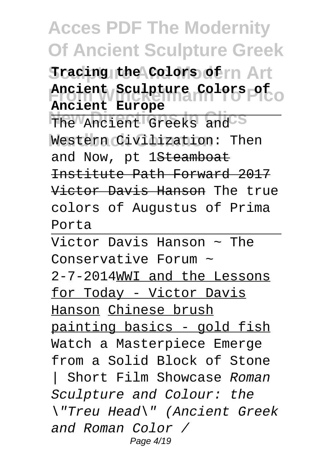$\texttt{fracing}$  the Colors of  $\texttt{nn}$  Art **From Winckelmann To Pico Ancient Sculpture Colors of Ancient Europe**

The Ancient Greeks and<sup>35</sup> Western Civilization: Then and Now, pt 1Steamboat Institute Path Forward 2017 Victor Davis Hanson The true colors of Augustus of Prima Porta

Victor Davis Hanson  $\sim$  The Conservative Forum ~ 2-7-2014WWI and the Lessons for Today - Victor Davis Hanson Chinese brush painting basics - gold fish Watch a Masterpiece Emerge from a Solid Block of Stone | Short Film Showcase Roman Sculpture and Colour: the \"Treu Head\" (Ancient Greek and Roman Color / Page 4/19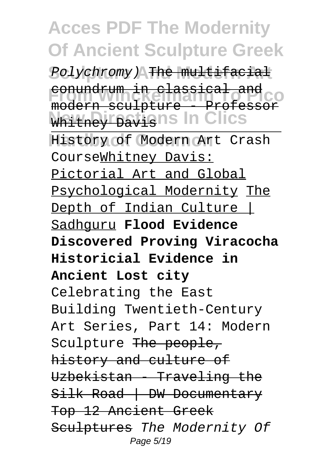Polychromy) The multifacial **From Winckelmann To Pico** modern sculpture - Professor Whitney Davish's In Clics conundrum in classical and

History of Modern Art Crash CourseWhitney Davis: Pictorial Art and Global Psychological Modernity The Depth of Indian Culture | Sadhguru **Flood Evidence Discovered Proving Viracocha Historicial Evidence in Ancient Lost city** Celebrating the East Building Twentieth-Century Art Series, Part 14: Modern Sculpture The people, history and culture of Uzbekistan - Traveling the Silk Road | DW Documentary Top 12 Ancient Greek Sculptures The Modernity Of Page 5/19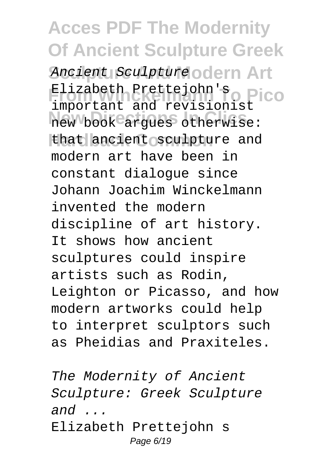**Ancient Sculpture odern Art Flizabeth Prettejohn's**<br>
important and novision; PICO new book argues otherwise: that ancient sculpture and important and revisionist modern art have been in constant dialogue since Johann Joachim Winckelmann invented the modern discipline of art history. It shows how ancient sculptures could inspire artists such as Rodin, Leighton or Picasso, and how modern artworks could help to interpret sculptors such as Pheidias and Praxiteles.

The Modernity of Ancient Sculpture: Greek Sculpture and  $\ldots$ Elizabeth Prettejohn s Page 6/19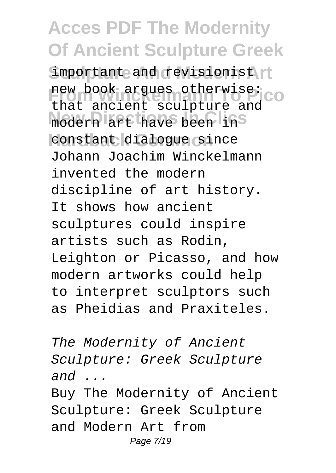important and revisionist new book argues otherwise:<br>that ancient sculpture and modern art have been in<sup>s</sup> constant dialogue since new book argues otherwise: Johann Joachim Winckelmann invented the modern discipline of art history. It shows how ancient sculptures could inspire artists such as Rodin, Leighton or Picasso, and how modern artworks could help to interpret sculptors such as Pheidias and Praxiteles.

The Modernity of Ancient Sculpture: Greek Sculpture and  $\ldots$ Buy The Modernity of Ancient Sculpture: Greek Sculpture and Modern Art from Page 7/19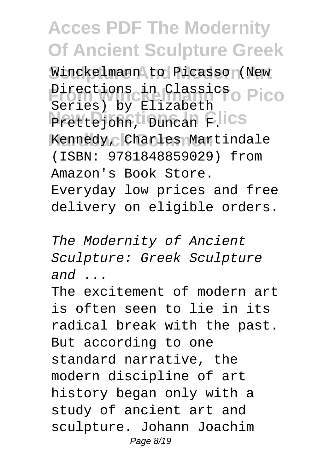Winckelmann to Picasso<sub>(New</sub> **Pirections in Classics** Pico Prettejohn, Duncan F.lics Kennedy, Charles Martindale Series) by Elizabeth (ISBN: 9781848859029) from Amazon's Book Store. Everyday low prices and free delivery on eligible orders.

The Modernity of Ancient Sculpture: Greek Sculpture  $and$  ...

The excitement of modern art is often seen to lie in its radical break with the past. But according to one standard narrative, the modern discipline of art history began only with a study of ancient art and sculpture. Johann Joachim Page 8/19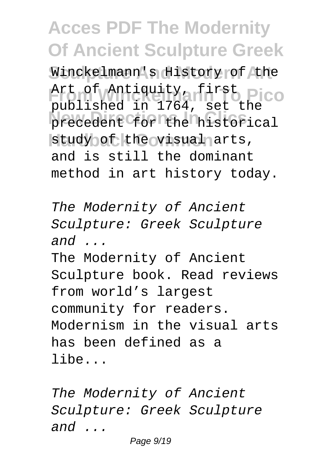Winckelmann's History of the Art of Antiquity, first Pico precedent for the historical study of the visual arts, published in 1764, set the and is still the dominant method in art history today.

The Modernity of Ancient Sculpture: Greek Sculpture  $and$  ...

The Modernity of Ancient Sculpture book. Read reviews from world's largest community for readers. Modernism in the visual arts has been defined as a libe...

The Modernity of Ancient Sculpture: Greek Sculpture and ...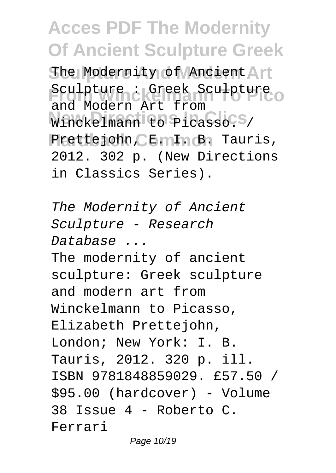The Modernity of Ancient Art Sculpture : Greek Sculpture o Winckelmann to Picasso. S/ Prettejohn, CE. II. B. Tauris, and Modern Art from 2012. 302 p. (New Directions in Classics Series).

The Modernity of Ancient Sculpture - Research Database ... The modernity of ancient sculpture: Greek sculpture and modern art from Winckelmann to Picasso, Elizabeth Prettejohn, London; New York: I. B. Tauris, 2012. 320 p. ill. ISBN 9781848859029. £57.50 / \$95.00 (hardcover) - Volume 38 Issue 4 - Roberto C. Ferrari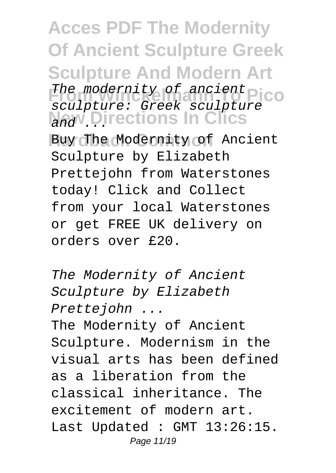**Acces PDF The Modernity Of Ancient Sculpture Greek Sculpture And Modern Art** The modernity of ancient<br>
The modernity of ancient<br>
The modernity of ancient<br>
The modernity of ancient **New Directions In Clics** Buy The Modernity of Ancient sculpture: Greek sculpture Sculpture by Elizabeth Prettejohn from Waterstones today! Click and Collect from your local Waterstones or get FREE UK delivery on

orders over £20.

The Modernity of Ancient Sculpture by Elizabeth Prettejohn ... The Modernity of Ancient Sculpture. Modernism in the visual arts has been defined as a liberation from the classical inheritance. The excitement of modern art. Last Updated : GMT 13:26:15. Page 11/19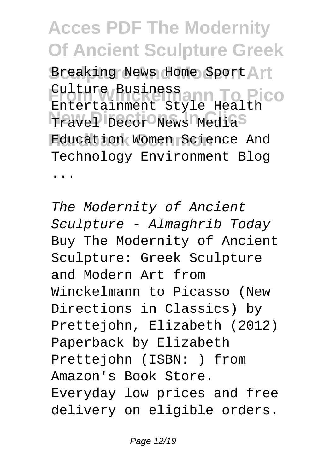Breaking News Home Sport Art **Culture Business**<br>Entertainment Guann To Pico Travel Decor News Media<sup>S</sup> **Hardback Common** Education Women Science And Entertainment Style Health Technology Environment Blog ...

The Modernity of Ancient Sculpture - Almaghrib Today Buy The Modernity of Ancient Sculpture: Greek Sculpture and Modern Art from Winckelmann to Picasso (New Directions in Classics) by Prettejohn, Elizabeth (2012) Paperback by Elizabeth Prettejohn (ISBN: ) from Amazon's Book Store. Everyday low prices and free delivery on eligible orders.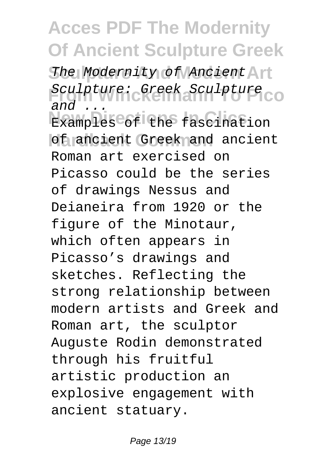The Modernity of Ancient Art Sculpture: Greek Sculpture **Examples** of the fascination of ancient Greek and ancient  $and$ Roman art exercised on Picasso could be the series of drawings Nessus and Deianeira from 1920 or the figure of the Minotaur, which often appears in Picasso's drawings and sketches. Reflecting the strong relationship between modern artists and Greek and Roman art, the sculptor Auguste Rodin demonstrated through his fruitful artistic production an explosive engagement with ancient statuary.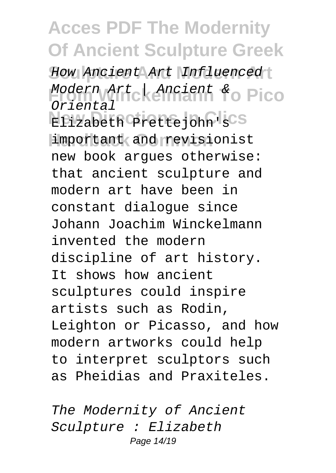How Ancient Art Influenced Modern Art | Ancient & Pico **New Directions In Clics** Elizabeth Prettejohn's important and revisionist Oriental new book argues otherwise: that ancient sculpture and modern art have been in constant dialogue since Johann Joachim Winckelmann invented the modern discipline of art history. It shows how ancient sculptures could inspire artists such as Rodin, Leighton or Picasso, and how modern artworks could help to interpret sculptors such as Pheidias and Praxiteles.

The Modernity of Ancient Sculpture : Elizabeth Page 14/19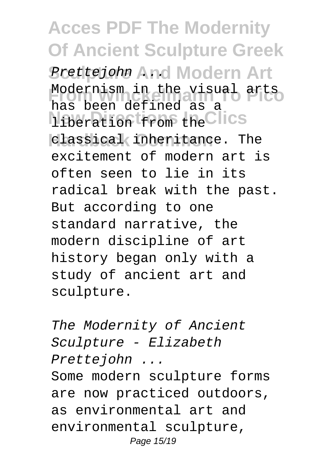#### **Acces PDF The Modernity Of Ancient Sculpture Greek Prettejohn And Modern Art From Winckelmann To Pico** Modernism in the visual arts liberation from the Clics classical inheritance. The has been defined as a excitement of modern art is often seen to lie in its radical break with the past. But according to one standard narrative, the modern discipline of art history began only with a study of ancient art and sculpture.

The Modernity of Ancient Sculpture - Elizabeth Prettejohn ...

Some modern sculpture forms are now practiced outdoors, as environmental art and environmental sculpture, Page 15/19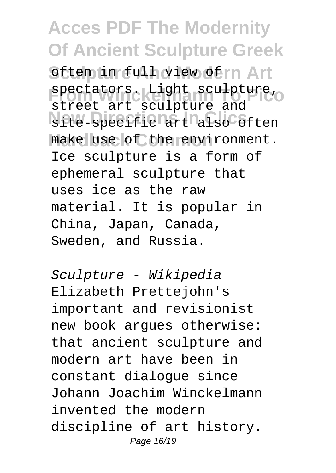Sften in full view of m Art **Spectators.** Light sculpture, site-specific<sup>art</sup> also often make use of the environment. street art sculpture and Ice sculpture is a form of ephemeral sculpture that uses ice as the raw material. It is popular in China, Japan, Canada, Sweden, and Russia.

Sculpture - Wikipedia Elizabeth Prettejohn's important and revisionist new book argues otherwise: that ancient sculpture and modern art have been in constant dialogue since Johann Joachim Winckelmann invented the modern discipline of art history. Page 16/19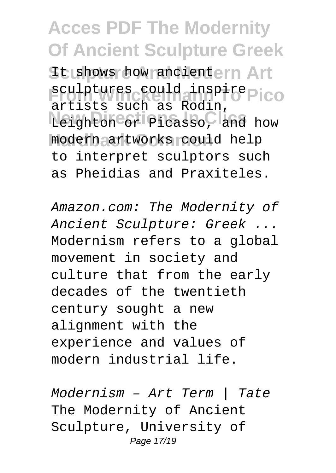It shows how ancientern Art **From Winches** could inspire Pico **New Directions In Clics** Leighton or Picasso, and how **Hardback Common** modern artworks could help artists such as Rodin, to interpret sculptors such as Pheidias and Praxiteles.

Amazon.com: The Modernity of Ancient Sculpture: Greek ... Modernism refers to a global movement in society and culture that from the early decades of the twentieth century sought a new alignment with the experience and values of modern industrial life.

Modernism – Art Term | Tate The Modernity of Ancient Sculpture, University of Page 17/19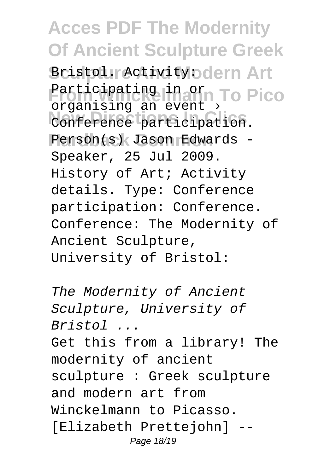Bristol. Activity: **Odern Art** Participating in orn To Pico Conference participation. Person(s) Jason Edwards organising an event Speaker, 25 Jul 2009. History of Art; Activity details. Type: Conference participation: Conference. Conference: The Modernity of Ancient Sculpture, University of Bristol:

The Modernity of Ancient Sculpture, University of Bristol ... Get this from a library! The modernity of ancient sculpture : Greek sculpture and modern art from Winckelmann to Picasso. [Elizabeth Prettejohn] -- Page 18/19